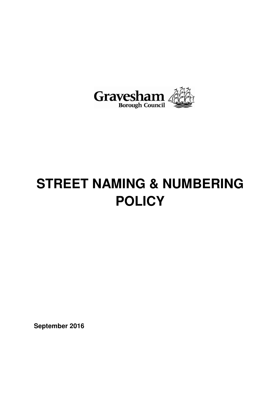

# **STREET NAMING & NUMBERING POLICY**

**September 2016**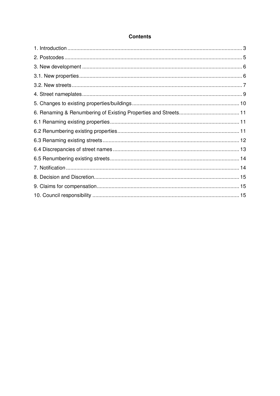#### **Contents**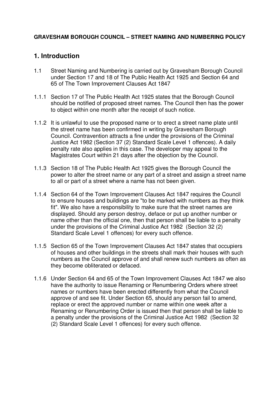#### **GRAVESHAM BOROUGH COUNCIL – STREET NAMING AND NUMBERING POLICY**

## **1. Introduction**

- 1.1 Street Naming and Numbering is carried out by Gravesham Borough Council under Section 17 and 18 of The Public Health Act 1925 and Section 64 and 65 of The Town Improvement Clauses Act 1847
- 1.1.1 Section 17 of The Public Health Act 1925 states that the Borough Council should be notified of proposed street names. The Council then has the power to object within one month after the receipt of such notice.
- 1.1.2 It is unlawful to use the proposed name or to erect a street name plate until the street name has been confirmed in writing by Gravesham Borough Council. Contravention attracts a fine under the provisions of the Criminal Justice Act 1982 (Section 37 (2) Standard Scale Level 1 offences). A daily penalty rate also applies in this case. The developer may appeal to the Magistrates Court within 21 days after the objection by the Council.
- 1.1.3 Section 18 of The Public Health Act 1925 gives the Borough Council the power to alter the street name or any part of a street and assign a street name to all or part of a street where a name has not been given.
- 1.1.4 Section 64 of the Town Improvement Clauses Act 1847 requires the Council to ensure houses and buildings are "to be marked with numbers as they think fit". We also have a responsibility to make sure that the street names are displayed. Should any person destroy, deface or put up another number or name other than the official one, then that person shall be liable to a penalty under the provisions of the Criminal Justice Act 1982 (Section 32 (2) Standard Scale Level 1 offences) for every such offence.
- 1.1.5 Section 65 of the Town Improvement Clauses Act 1847 states that occupiers of houses and other buildings in the streets shall mark their houses with such numbers as the Council approve of and shall renew such numbers as often as they become obliterated or defaced.
- 1.1.6 Under Section 64 and 65 of the Town Improvement Clauses Act 1847 we also have the authority to issue Renaming or Renumbering Orders where street names or numbers have been erected differently from what the Council approve of and see fit. Under Section 65, should any person fail to amend, replace or erect the approved number or name within one week after a Renaming or Renumbering Order is issued then that person shall be liable to a penalty under the provisions of the Criminal Justice Act 1982 (Section 32 (2) Standard Scale Level 1 offences) for every such offence.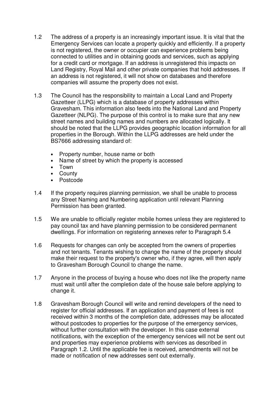- 1.2 The address of a property is an increasingly important issue. It is vital that the Emergency Services can locate a property quickly and efficiently. If a property is not registered, the owner or occupier can experience problems being connected to utilities and in obtaining goods and services, such as applying for a credit card or mortgage. If an address is unregistered this impacts on Land Registry, Royal Mail and other private companies that hold addresses. If an address is not registered, it will not show on databases and therefore companies will assume the property does not exist.
- 1.3 The Council has the responsibility to maintain a Local Land and Property Gazetteer (LLPG) which is a database of property addresses within Gravesham. This information also feeds into the National Land and Property Gazetteer (NLPG). The purpose of this control is to make sure that any new street names and building names and numbers are allocated logically. It should be noted that the LLPG provides geographic location information for all properties in the Borough. Within the LLPG addresses are held under the BS7666 addressing standard of:
	- Property number, house name or both
	- Name of street by which the property is accessed
	- Town
	- County
	- Postcode
- 1.4 If the property requires planning permission, we shall be unable to process any Street Naming and Numbering application until relevant Planning Permission has been granted.
- 1.5 We are unable to officially register mobile homes unless they are registered to pay council tax and have planning permission to be considered permanent dwellings. For information on registering annexes refer to Paragraph 5.4
- 1.6 Requests for changes can only be accepted from the owners of properties and not tenants. Tenants wishing to change the name of the property should make their request to the property's owner who, if they agree, will then apply to Gravesham Borough Council to change the name.
- 1.7 Anyone in the process of buying a house who does not like the property name must wait until after the completion date of the house sale before applying to change it.
- 1.8 Gravesham Borough Council will write and remind developers of the need to register for official addresses. If an application and payment of fees is not received within 3 months of the completion date, addresses may be allocated without postcodes to properties for the purpose of the emergency services, without further consultation with the developer. In this case external notifications, with the exception of the emergency services will not be sent out and properties may experience problems with services as described in Paragraph 1.2. Until the applicable fee is received, amendments will not be made or notification of new addresses sent out externally.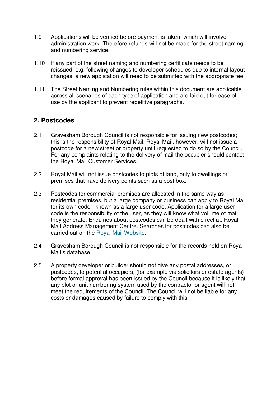- 1.9 Applications will be verified before payment is taken, which will involve administration work. Therefore refunds will not be made for the street naming and numbering service.
- 1.10 If any part of the street naming and numbering certificate needs to be reissued, e.g. following changes to developer schedules due to internal layout changes, a new application will need to be submitted with the appropriate fee.
- 1.11 The Street Naming and Numbering rules within this document are applicable across all scenarios of each type of application and are laid out for ease of use by the applicant to prevent repetitive paragraphs.

## **2. Postcodes**

- 2.1 Gravesham Borough Council is not responsible for issuing new postcodes; this is the responsibility of Royal Mail. Royal Mail, however, will not issue a postcode for a new street or property until requested to do so by the Council. For any complaints relating to the delivery of mail the occupier should contact the Royal Mail Customer Services.
- 2.2 Royal Mail will not issue postcodes to plots of land, only to dwellings or premises that have delivery points such as a post box.
- 2.3 Postcodes for commercial premises are allocated in the same way as residential premises, but a large company or business can apply to Royal Mail for its own code - known as a large user code. Application for a large user code is the responsibility of the user, as they will know what volume of mail they generate. Enquiries about postcodes can be dealt with direct at: Royal Mail Address Management Centre. Searches for postcodes can also be carried out on the Royal Mail Website.
- 2.4 Gravesham Borough Council is not responsible for the records held on Royal Mail's database.
- 2.5 A property developer or builder should not give any postal addresses, or postcodes, to potential occupiers, (for example via solicitors or estate agents) before formal approval has been issued by the Council because it is likely that any plot or unit numbering system used by the contractor or agent will not meet the requirements of the Council. The Council will not be liable for any costs or damages caused by failure to comply with this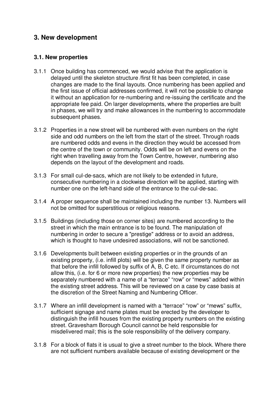## **3. New development**

#### **3.1. New properties**

- 3.1.1 Once building has commenced, we would advise that the application is delayed until the skeleton structure /first fit has been completed, in case changes are made to the final layouts. Once numbering has been applied and the first issue of official addresses confirmed, it will not be possible to change it without an application for re-numbering and re-issuing the certificate and the appropriate fee paid. On larger developments, where the properties are built in phases, we will try and make allowances in the numbering to accommodate subsequent phases.
- 3.1.2 Properties in a new street will be numbered with even numbers on the right side and odd numbers on the left from the start of the street. Through roads are numbered odds and evens in the direction they would be accessed from the centre of the town or community. Odds will be on left and evens on the right when travelling away from the Town Centre, however, numbering also depends on the layout of the development and roads.
- 3.1.3 For small cul-de-sacs, which are not likely to be extended in future, consecutive numbering in a clockwise direction will be applied, starting with number one on the left-hand side of the entrance to the cul-de-sac.
- 3.1.4 A proper sequence shall be maintained including the number 13. Numbers will not be omitted for superstitious or religious reasons.
- 3.1.5 Buildings (including those on corner sites) are numbered according to the street in which the main entrance is to be found. The manipulation of numbering in order to secure a "prestige" address or to avoid an address, which is thought to have undesired associations, will not be sanctioned.
- 3.1.6 Developments built between existing properties or in the grounds of an existing property, (i.e. infill plots) will be given the same property number as that before the infill followed by suffix of A, B, C etc. If circumstances do not allow this, (i.e. for 6 or more new properties) the new properties may be separately numbered with a name of a "terrace" "row" or "mews" added within the existing street address. This will be reviewed on a case by case basis at the discretion of the Street Naming and Numbering Officer.
- 3.1.7 Where an infill development is named with a "terrace" "row" or "mews" suffix, sufficient signage and name plates must be erected by the developer to distinguish the infill houses from the existing property numbers on the existing street. Gravesham Borough Council cannot be held responsible for misdelivered mail; this is the sole responsibility of the delivery company.
- 3.1.8 For a block of flats it is usual to give a street number to the block. Where there are not sufficient numbers available because of existing development or the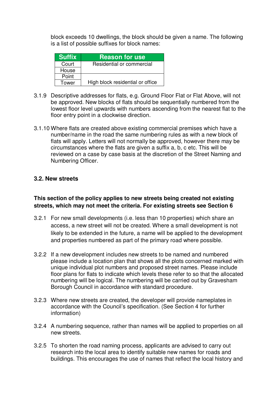block exceeds 10 dwellings, the block should be given a name. The following is a list of possible suffixes for block names:

| <b>Suffix</b> | <b>Reason for use</b>            |
|---------------|----------------------------------|
| Court         | Residential or commercial        |
| House         |                                  |
| Point         |                                  |
| Tower         | High block residential or office |

- 3.1.9 Descriptive addresses for flats, e.g. Ground Floor Flat or Flat Above, will not be approved. New blocks of flats should be sequentially numbered from the lowest floor level upwards with numbers ascending from the nearest flat to the floor entry point in a clockwise direction.
- 3.1.10 Where flats are created above existing commercial premises which have a number/name in the road the same numbering rules as with a new block of flats will apply. Letters will not normally be approved, however there may be circumstances where the flats are given a suffix a, b, c etc. This will be reviewed on a case by case basis at the discretion of the Street Naming and Numbering Officer.

#### **3.2. New streets**

#### **This section of the policy applies to new streets being created not existing streets, which may not meet the criteria. For existing streets see Section 6**

- 3.2.1 For new small developments (i.e. less than 10 properties) which share an access, a new street will not be created. Where a small development is not likely to be extended in the future, a name will be applied to the development and properties numbered as part of the primary road where possible.
- 3.2.2 If a new development includes new streets to be named and numbered please include a location plan that shows all the plots concerned marked with unique individual plot numbers and proposed street names. Please include floor plans for flats to indicate which levels these refer to so that the allocated numbering will be logical. The numbering will be carried out by Gravesham Borough Council in accordance with standard procedure.
- 3.2.3 Where new streets are created, the developer will provide nameplates in accordance with the Council's specification. (See Section 4 for further information)
- 3.2.4 A numbering sequence, rather than names will be applied to properties on all new streets.
- 3.2.5 To shorten the road naming process, applicants are advised to carry out research into the local area to identify suitable new names for roads and buildings. This encourages the use of names that reflect the local history and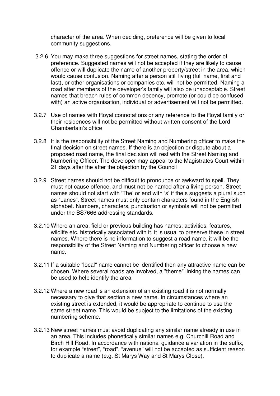character of the area. When deciding, preference will be given to local community suggestions.

- 3.2.6 You may make three suggestions for street names, stating the order of preference. Suggested names will not be accepted if they are likely to cause offence or will duplicate the name of another property/street in the area, which would cause confusion. Naming after a person still living (full name, first and last), or other organisations or companies etc. will not be permitted. Naming a road after members of the developer's family will also be unacceptable. Street names that breach rules of common decency, promote (or could be confused with) an active organisation, individual or advertisement will not be permitted.
- 3.2.7 Use of names with Royal connotations or any reference to the Royal family or their residences will not be permitted without written consent of the Lord Chamberlain's office
- 3.2.8 It is the responsibility of the Street Naming and Numbering officer to make the final decision on street names. If there is an objection or dispute about a proposed road name, the final decision will rest with the Street Naming and Numbering Officer. The developer may appeal to the Magistrates Court within 21 days after the after the objection by the Council
- 3.2.9 Street names should not be difficult to pronounce or awkward to spell. They must not cause offence, and must not be named after a living person. Street names should not start with 'The' or end with 's' if the s suggests a plural such as "Lanes". Street names must only contain characters found in the English alphabet. Numbers, characters, punctuation or symbols will not be permitted under the BS7666 addressing standards.
- 3.2.10 Where an area, field or previous building has names; activities, features, wildlife etc. historically associated with it, it is usual to preserve these in street names. Where there is no information to suggest a road name, it will be the responsibility of the Street Naming and Numbering officer to choose a new name.
- 3.2.11 If a suitable "local" name cannot be identified then any attractive name can be chosen. Where several roads are involved, a "theme" linking the names can be used to help identify the area.
- 3.2.12 Where a new road is an extension of an existing road it is not normally necessary to give that section a new name. In circumstances where an existing street is extended, it would be appropriate to continue to use the same street name. This would be subject to the limitations of the existing numbering scheme.
- 3.2.13 New street names must avoid duplicating any similar name already in use in an area. This includes phonetically similar names e.g. Churchill Road and Birch Hill Road. In accordance with national guidance a variation in the suffix, for example "street", "road", "avenue" will not be accepted as sufficient reason to duplicate a name (e.g. St Marys Way and St Marys Close).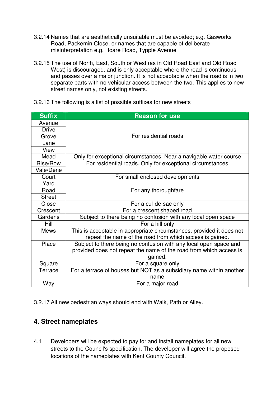- 3.2.14 Names that are aesthetically unsuitable must be avoided; e.g. Gasworks Road, Packemin Close, or names that are capable of deliberate misinterpretation e.g. Hoare Road, Typple Avenue
- 3.2.15 The use of North, East, South or West (as in Old Road East and Old Road West) is discouraged, and is only acceptable where the road is continuous and passes over a major junction. It is not acceptable when the road is in two separate parts with no vehicular access between the two. This applies to new street names only, not existing streets.
- 3.2.16 The following is a list of possible suffixes for new streets

| <b>Suffix</b> | <b>Reason for use</b>                                                 |
|---------------|-----------------------------------------------------------------------|
| Avenue        |                                                                       |
| <b>Drive</b>  |                                                                       |
| Grove         | For residential roads                                                 |
| Lane          |                                                                       |
| View          |                                                                       |
| Mead          | Only for exceptional circumstances. Near a navigable water course     |
| Rise/Row      | For residential roads. Only for exceptional circumstances             |
| Vale/Dene     |                                                                       |
| Court         | For small enclosed developments                                       |
| Yard          |                                                                       |
| Road          | For any thoroughfare                                                  |
| <b>Street</b> |                                                                       |
| Close         | For a cul-de-sac only                                                 |
| Crescent      | For a crescent shaped road                                            |
| Gardens       | Subject to there being no confusion with any local open space         |
| Hill          | For a hill only                                                       |
| <b>Mews</b>   | This is acceptable in appropriate circumstances, provided it does not |
|               | repeat the name of the road from which access is gained.              |
| Place         | Subject to there being no confusion with any local open space and     |
|               | provided does not repeat the name of the road from which access is    |
|               | gained.                                                               |
| Square        | For a square only                                                     |
| Terrace       | For a terrace of houses but NOT as a subsidiary name within another   |
|               | name                                                                  |
| Way           | For a major road                                                      |

3.2.17 All new pedestrian ways should end with Walk, Path or Alley.

## **4. Street nameplates**

4.1 Developers will be expected to pay for and install nameplates for all new streets to the Council's specification. The developer will agree the proposed locations of the nameplates with Kent County Council.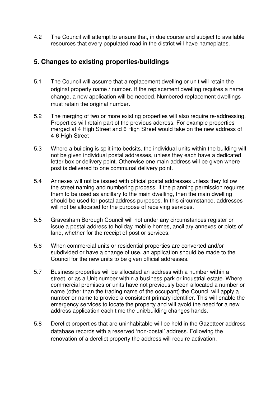4.2 The Council will attempt to ensure that, in due course and subject to available resources that every populated road in the district will have nameplates.

## **5. Changes to existing properties/buildings**

- 5.1 The Council will assume that a replacement dwelling or unit will retain the original property name / number. If the replacement dwelling requires a name change, a new application will be needed. Numbered replacement dwellings must retain the original number.
- 5.2 The merging of two or more existing properties will also require re-addressing. Properties will retain part of the previous address. For example properties merged at 4 High Street and 6 High Street would take on the new address of 4-6 High Street
- 5.3 Where a building is split into bedsits, the individual units within the building will not be given individual postal addresses, unless they each have a dedicated letter box or delivery point. Otherwise one main address will be given where post is delivered to one communal delivery point.
- 5.4 Annexes will not be issued with official postal addresses unless they follow the street naming and numbering process. If the planning permission requires them to be used as ancillary to the main dwelling, then the main dwelling should be used for postal address purposes. In this circumstance, addresses will not be allocated for the purpose of receiving services.
- 5.5 Gravesham Borough Council will not under any circumstances register or issue a postal address to holiday mobile homes, ancillary annexes or plots of land, whether for the receipt of post or services.
- 5.6 When commercial units or residential properties are converted and/or subdivided or have a change of use, an application should be made to the Council for the new units to be given official addresses.
- 5.7 Business properties will be allocated an address with a number within a street, or as a Unit number within a business park or industrial estate. Where commercial premises or units have not previously been allocated a number or name (other than the trading name of the occupant) the Council will apply a number or name to provide a consistent primary identifier. This will enable the emergency services to locate the property and will avoid the need for a new address application each time the unit/building changes hands.
- 5.8 Derelict properties that are uninhabitable will be held in the Gazetteer address database records with a reserved 'non-postal' address. Following the renovation of a derelict property the address will require activation.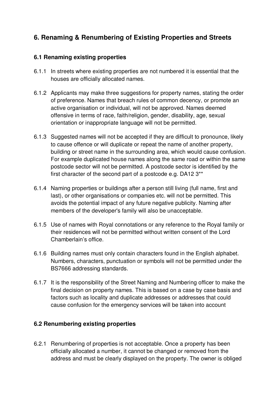# **6. Renaming & Renumbering of Existing Properties and Streets**

## **6.1 Renaming existing properties**

- 6.1.1 In streets where existing properties are not numbered it is essential that the houses are officially allocated names.
- 6.1.2 Applicants may make three suggestions for property names, stating the order of preference. Names that breach rules of common decency, or promote an active organisation or individual, will not be approved. Names deemed offensive in terms of race, faith/religion, gender, disability, age, sexual orientation or inappropriate language will not be permitted.
- 6.1.3 Suggested names will not be accepted if they are difficult to pronounce, likely to cause offence or will duplicate or repeat the name of another property, building or street name in the surrounding area, which would cause confusion. For example duplicated house names along the same road or within the same postcode sector will not be permitted. A postcode sector is identified by the first character of the second part of a postcode e.g. DA12 3\*\*
- 6.1.4 Naming properties or buildings after a person still living (full name, first and last), or other organisations or companies etc. will not be permitted. This avoids the potential impact of any future negative publicity. Naming after members of the developer's family will also be unacceptable.
- 6.1.5 Use of names with Royal connotations or any reference to the Royal family or their residences will not be permitted without written consent of the Lord Chamberlain's office.
- 6.1.6 Building names must only contain characters found in the English alphabet. Numbers, characters, punctuation or symbols will not be permitted under the BS7666 addressing standards.
- 6.1.7 It is the responsibility of the Street Naming and Numbering officer to make the final decision on property names. This is based on a case by case basis and factors such as locality and duplicate addresses or addresses that could cause confusion for the emergency services will be taken into account

## **6.2 Renumbering existing properties**

6.2.1 Renumbering of properties is not acceptable. Once a property has been officially allocated a number, it cannot be changed or removed from the address and must be clearly displayed on the property. The owner is obliged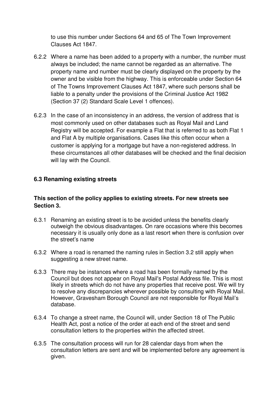to use this number under Sections 64 and 65 of The Town Improvement Clauses Act 1847.

- 6.2.2 Where a name has been added to a property with a number, the number must always be included; the name cannot be regarded as an alternative. The property name and number must be clearly displayed on the property by the owner and be visible from the highway. This is enforceable under Section 64 of The Towns Improvement Clauses Act 1847, where such persons shall be liable to a penalty under the provisions of the Criminal Justice Act 1982 (Section 37 (2) Standard Scale Level 1 offences).
- 6.2.3 In the case of an inconsistency in an address, the version of address that is most commonly used on other databases such as Royal Mail and Land Registry will be accepted. For example a Flat that is referred to as both Flat 1 and Flat A by multiple organisations. Cases like this often occur when a customer is applying for a mortgage but have a non-registered address. In these circumstances all other databases will be checked and the final decision will lay with the Council.

#### **6.3 Renaming existing streets**

#### **This section of the policy applies to existing streets. For new streets see Section 3.**

- 6.3.1 Renaming an existing street is to be avoided unless the benefits clearly outweigh the obvious disadvantages. On rare occasions where this becomes necessary it is usually only done as a last resort when there is confusion over the street's name
- 6.3.2 Where a road is renamed the naming rules in Section 3.2 still apply when suggesting a new street name.
- 6.3.3 There may be instances where a road has been formally named by the Council but does not appear on Royal Mail's Postal Address file. This is most likely in streets which do not have any properties that receive post. We will try to resolve any discrepancies wherever possible by consulting with Royal Mail. However, Gravesham Borough Council are not responsible for Royal Mail's database.
- 6.3.4 To change a street name, the Council will, under Section 18 of The Public Health Act, post a notice of the order at each end of the street and send consultation letters to the properties within the affected street.
- 6.3.5 The consultation process will run for 28 calendar days from when the consultation letters are sent and will be implemented before any agreement is given.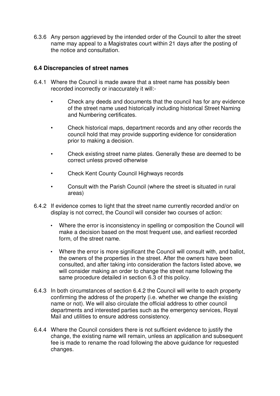6.3.6 Any person aggrieved by the intended order of the Council to alter the street name may appeal to a Magistrates court within 21 days after the posting of the notice and consultation.

#### **6.4 Discrepancies of street names**

- 6.4.1 Where the Council is made aware that a street name has possibly been recorded incorrectly or inaccurately it will:-
	- Check any deeds and documents that the council has for any evidence of the street name used historically including historical Street Naming and Numbering certificates.
	- Check historical maps, department records and any other records the council hold that may provide supporting evidence for consideration prior to making a decision.
	- Check existing street name plates. Generally these are deemed to be correct unless proved otherwise
	- Check Kent County Council Highways records
	- Consult with the Parish Council (where the street is situated in rural areas)
- 6.4.2 If evidence comes to light that the street name currently recorded and/or on display is not correct, the Council will consider two courses of action:
	- Where the error is inconsistency in spelling or composition the Council will make a decision based on the most frequent use, and earliest recorded form, of the street name.
	- Where the error is more significant the Council will consult with, and ballot, the owners of the properties in the street. After the owners have been consulted, and after taking into consideration the factors listed above, we will consider making an order to change the street name following the same procedure detailed in section 6.3 of this policy.
- 6.4.3 In both circumstances of section 6.4.2 the Council will write to each property confirming the address of the property (i.e. whether we change the existing name or not). We will also circulate the official address to other council departments and interested parties such as the emergency services, Royal Mail and utilities to ensure address consistency.
- 6.4.4 Where the Council considers there is not sufficient evidence to justify the change, the existing name will remain, unless an application and subsequent fee is made to rename the road following the above guidance for requested changes.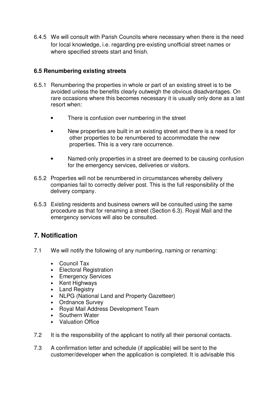6.4.5 We will consult with Parish Councils where necessary when there is the need for local knowledge, i.e. regarding pre-existing unofficial street names or where specified streets start and finish.

## **6.5 Renumbering existing streets**

- 6.5.1 Renumbering the properties in whole or part of an existing street is to be avoided unless the benefits clearly outweigh the obvious disadvantages. On rare occasions where this becomes necessary it is usually only done as a last resort when:
	- There is confusion over numbering in the street
	- New properties are built in an existing street and there is a need for other properties to be renumbered to accommodate the new properties. This is a very rare occurrence.
	- Named-only properties in a street are deemed to be causing confusion for the emergency services, deliveries or visitors.
- 6.5.2 Properties will not be renumbered in circumstances whereby delivery companies fail to correctly deliver post. This is the full responsibility of the delivery company.
- 6.5.3 Existing residents and business owners will be consulted using the same procedure as that for renaming a street (Section 6.3). Royal Mail and the emergency services will also be consulted.

# **7. Notification**

- 7.1 We will notify the following of any numbering, naming or renaming:
	- Council Tax
	- Electoral Registration
	- Emergency Services
	- Kent Highways
	- Land Registry
	- NLPG (National Land and Property Gazetteer)
	- Ordnance Survey
	- Royal Mail Address Development Team
	- Southern Water
	- Valuation Office
- 7.2 It is the responsibility of the applicant to notify all their personal contacts.
- 7.3 A confirmation letter and schedule (if applicable) will be sent to the customer/developer when the application is completed. It is advisable this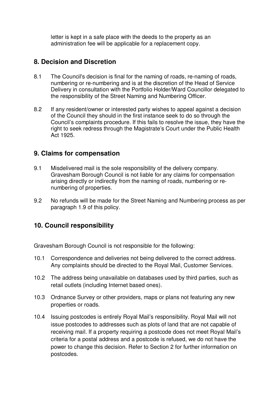letter is kept in a safe place with the deeds to the property as an administration fee will be applicable for a replacement copy.

# **8. Decision and Discretion**

- 8.1 The Council's decision is final for the naming of roads, re-naming of roads, numbering or re-numbering and is at the discretion of the Head of Service Delivery in consultation with the Portfolio Holder/Ward Councillor delegated to the responsibility of the Street Naming and Numbering Officer.
- 8.2 If any resident/owner or interested party wishes to appeal against a decision of the Council they should in the first instance seek to do so through the Council's complaints procedure. If this fails to resolve the issue, they have the right to seek redress through the Magistrate's Court under the Public Health Act 1925.

## **9. Claims for compensation**

- 9.1 Misdelivered mail is the sole responsibility of the delivery company. Gravesham Borough Council is not liable for any claims for compensation arising directly or indirectly from the naming of roads, numbering or renumbering of properties.
- 9.2 No refunds will be made for the Street Naming and Numbering process as per paragraph 1.9 of this policy.

# **10. Council responsibility**

Gravesham Borough Council is not responsible for the following:

- 10.1 Correspondence and deliveries not being delivered to the correct address. Any complaints should be directed to the Royal Mail, Customer Services.
- 10.2 The address being unavailable on databases used by third parties, such as retail outlets (including Internet based ones).
- 10.3 Ordnance Survey or other providers, maps or plans not featuring any new properties or roads.
- 10.4 Issuing postcodes is entirely Royal Mail's responsibility. Royal Mail will not issue postcodes to addresses such as plots of land that are not capable of receiving mail. If a property requiring a postcode does not meet Royal Mail's criteria for a postal address and a postcode is refused, we do not have the power to change this decision. Refer to Section 2 for further information on postcodes.